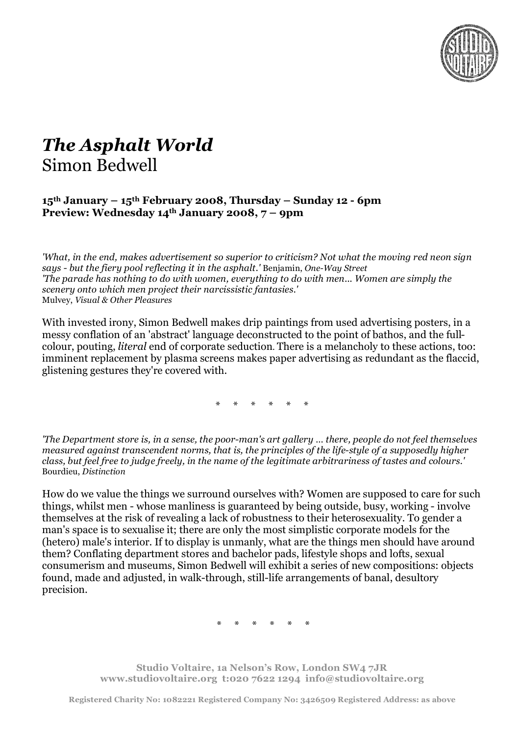

# *The Asphalt World*  Simon Bedwell

#### **15th January – 15th February 2008, Thursday – Sunday 12 - 6pm Preview: Wednesday 14th January 2008, 7 – 9pm**

*'What, in the end, makes advertisement so superior to criticism? Not what the moving red neon sign says - but the fiery pool reflecting it in the asphalt.'* Benjamin, *One-Way Street 'The parade has nothing to do with women, everything to do with men... Women are simply the scenery onto which men project their narcissistic fantasies.'* Mulvey, *Visual & Other Pleasures*

With invested irony, Simon Bedwell makes drip paintings from used advertising posters, in a messy conflation of an 'abstract' language deconstructed to the point of bathos, and the fullcolour, pouting, *literal* end of corporate seduction. There is a melancholy to these actions, too: imminent replacement by plasma screens makes paper advertising as redundant as the flaccid, glistening gestures they're covered with.

\* \* \* \* \* \*

*'The Department store is, in a sense, the poor-man's art gallery … there, people do not feel themselves measured against transcendent norms, that is, the principles of the life-style of a supposedly higher class, but feel free to judge freely, in the name of the legitimate arbitrariness of tastes and colours.'* Bourdieu, *Distinction*

How do we value the things we surround ourselves with? Women are supposed to care for such things, whilst men - whose manliness is guaranteed by being outside, busy, working - involve themselves at the risk of revealing a lack of robustness to their heterosexuality. To gender a man's space is to sexualise it; there are only the most simplistic corporate models for the (hetero) male's interior. If to display is unmanly, what are the things men should have around them? Conflating department stores and bachelor pads, lifestyle shops and lofts, sexual consumerism and museums, Simon Bedwell will exhibit a series of new compositions: objects found, made and adjusted, in walk-through, still-life arrangements of banal, desultory precision.

\* \* \* \* \* \*

**Studio Voltaire, 1a Nelson's Row, London SW4 7JR www.studiovoltaire.org t:020 7622 1294 info@studiovoltaire.org**

**Registered Charity No: 1082221 Registered Company No: 3426509 Registered Address: as above**